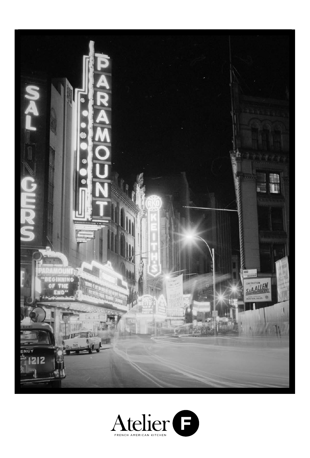

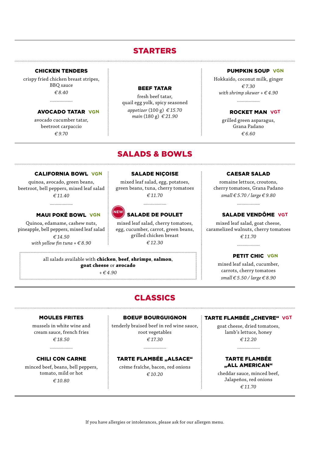## STARTERS

#### CHICKEN TENDERS

crispy fried chicken breast stripes, BBQ sauce *€ 8.40*

. . . . . . . . . . . . . . . . . . .

AVOCADO TATAR **VGN**

avocado cucumber tatar, beetroot carpaccio *€ 9.70*

#### BEEF TATAR

fresh beef tatar, quail egg yolk, spicy seasoned *appetizer* (100 g) *€ 15.70 main* (180 g) *€ 21.90*

## SALADS & BOWLS

#### CALIFORNIA BOWL **VGN**

quinoa, avocado, green beans, beetroot, bell peppers, mixed leaf salad *€ 11.40* 

#### MAUI POKÉ BOWL **VGN**

Quinoa, edamame, cashew nuts, pineapple, bell peppers, mixed leaf salad *€ 14.50 with yellow fin tuna + € 8.90*

#### SALADE NIÇOISE

mixed leaf salad, egg, potatoes, green beans, tuna, cherry tomatoes *€ 11.70*

....................

#### SALADE DE POULET **NEW**

mixed leaf salad, cherry tomatoes, egg, cucumber, carrot, green beans, grilled chicken breast *€ 12.30*

#### all salads available with **chicken**, **beef**, **shrimps**, **salmon**, **goat cheese** or **avocado**

*+ € 4.90*

#### CAESAR SALAD

PUMPKIN SOUP **VGN**

ROCKET MAN **VGT**

grilled green asparagus, Grana Padano *€ 6.60*

Hokkaido, coconut milk, ginger *€ 7.30 with shrimp skewer + € 4.90*

. . . . . . . . . . . . . . . . . . . .

romaine lettuce, croutons, cherry tomatoes, Grana Padano *small € 5.70 / large € 9.80*

....................

#### SALADE VENDÔME **VGT**

mixed leaf salad, goat cheese, caramelized walnuts, cherry tomatoes *€ 11.70*

....................

#### PETIT CHIC **VGN**

mixed leaf salad, cucumber, carrots, cherry tomatoes *small € 5.50 / large € 8.90*

## CLASSICS

#### MOULES FRITES

mussels in white wine and cream sauce, french fries *€ 18.50*

#### CHILI CON CARNE

minced beef, beans, bell peppers, tomato, mild or hot *€ 10.80*

BOEUF BOURGUIGNON

tenderly braised beef in red wine sauce, root vegetables *€ 17.30*

#### TARTE FLAMBÉE "ALSACE"

...................

crème fraîche, bacon, red onions *€ 10.20*

#### **TARTE FLAMBÉE "CHEVRE" VGT**

goat cheese, dried tomatoes, lamb's lettuce, honey *€ 12.20*

#### TARTE FLAMBÉE ..ALL AMERICAN"

...................

cheddar sauce, minced beef, Jalapeños, red onions *€ 11.70*

If you have allergies or intolerances, please ask for our allergen menu.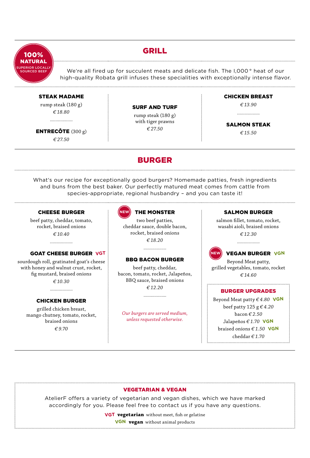

## GRILL

We're all fired up for succulent meats and delicate fish. The I,000° heat of our high-quality Robata grill infuses these specialities with exceptionally intense flavor.

#### STEAK MADAME

rump steak (180 g) *€ 18.80*

ENTRECÔTE (300 g) *€ 27.50*

#### SURF AND TURF

rump steak (180 g) with tiger prawns *€ 27.50*

#### CHICKEN BREAST

*€ 13.90* . . . . . . . . . . . . . . . . . . . .

#### SALMON STEAK *€ 15.50*

What's our recipe for exceptionally good burgers? Homemade patties, fresh ingredients and buns from the best baker. Our perfectly matured meat comes from cattle from species-appropriate, regional husbandry – and you can taste it!

BURGER

#### CHEESE BURGER

beef patty, cheddar, tomato, rocket, braised onions *€ 10.40*

....................

#### GOAT CHEESE BURGER **VGT**

sourdough roll, gratinated goat's cheese with honey and walnut crust, rocket, fig mustard, braised onions *€ 10.30*

#### CHICKEN BURGER

grilled chicken breast, mango chutney, tomato, rocket, braised onions *€ 9.70* 



#### THE MONSTER

two beef patties, cheddar sauce, double bacon, rocket, braised onions *€ 18.20*

#### BBQ BACON BURGER

....................

beef patty, cheddar, bacon, tomato, rocket, Jalapeños, BBQ sauce, braised onions *€ 12.20*

....................

*Our burgers are served medium, unless requested otherwise.*

#### SALMON BURGER

salmon fillet, tomato, rocket, wasabi aioli, braised onions *€ 12.30*



#### **VGN** VEGAN BURGER **VGN**

Beyond Meat patty, grilled vegetables, tomato, rocket *€ 14.60*

#### BURGER UPGRADES

Beyond Meat patty *€ 4.80* **VGN** beef patty 125 g *€ 4.20* bacon *€ 2.50* Jalapeños *€ 1.70* **VGN** braised onions *€ 1.50* **VGN** cheddar *€ 1.70*

#### VEGETARIAN & VEGAN

AtelierF offers a variety of vegetarian and vegan dishes, which we have marked accordingly for you. Please feel free to contact us if you have any questions.

**VGT vegetarian** without meet, fish or gelatine

**VGN vegan** without animal products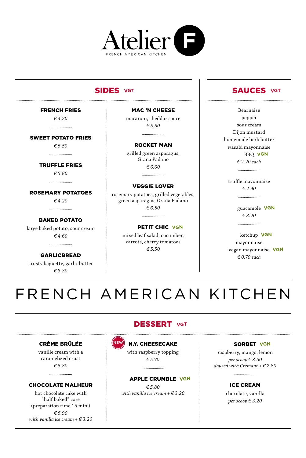

## **SIDES VGT**

FRENCH FRIES

*€ 4.20* ...................

SWEET POTATO FRIES

*€ 5.50*

...................

TRUFFLE FRIES

*€ 5.80* ....................

ROSEMARY POTATOES *€ 4.20*

BAKED POTATO

...................

large baked potato, sour cream *€ 4.60* 

GARLICBREAD

crusty baguette, garlic butter *€ 3.30*

MAC 'N CHEESE macaroni, cheddar sauce

*€ 5.50* ....................

ROCKET MAN

grilled green asparagus, Grana Padano *€ 6.60*

#### VEGGIE LOVER

....................

rosemary potatoes, grilled vegetables, green asparagus, Grana Padano *€ 6.50* ..................

PETIT CHIC **VGN**

mixed leaf salad, cucumber, carrots, cherry tomatoes *€ 5.50*

## **SAUCES** VGT

Béarnaise pepper sour cream Dijon mustard homemade herb butter wasabi mayonnaise BBQ **VGN**

*€ 2.20 each*

...................

truffle mayonnaise *€ 2.90* 

> guacamole **VGN** *€ 3.20*

 ketchup **VGN** mayonnaise vegan mayonnaise **VGN** *€ 0.70 each*

# FRENCH AMERICAN KITCHEN

## DESSERT **VGT**

#### CRÈME BRÛLÉE

vanille cream with a caramelized crust *€ 5.80*

#### CHOCOLATE MALHEUR

....................

hot chocolate cake with "half baked" core (preparation time 15 min.) *€ 5.90 with vanilla ice cream + € 3.20*



N.Y. CHEESECAKE

with raspberry topping *€ 5.70*

....................

#### APPLE CRUMBLE **VGN**

*€ 5.80 with vanilla ice cream + € 3.20*

#### SORBET **VGN**

raspberry, mango, lemon *per scoop € 3.50 doused with Cremant + € 2.80*

...................

ICE CREAM

chocolate, vanilla *per scoop € 3.20*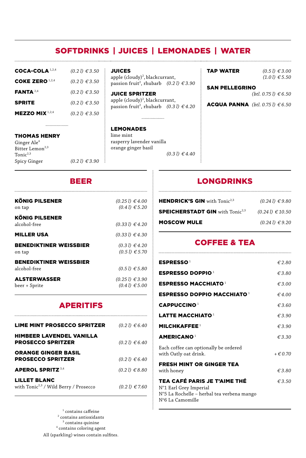## SOFTDRINKS  | JUICES  |  LEMONADES  |  WATER

| COCA-COLA 1,2,4        | $(0.21) \in 3.50$ |
|------------------------|-------------------|
| COKE ZERO $1,2,4$      | $(0.21) \in 3.50$ |
| <b>FANTA</b> $2,4$     | (0.21) € 3.50     |
| <b>SPRITE</b>          | $(0.21) \in 3.50$ |
| <b>MEZZO MIX</b> 1,2,4 | $(0.21) \in 3.50$ |

..................

#### JUICES

apple (cloudy)<sup>2</sup>, blackcurrant, passion fruit<sup>2</sup>, rhubarb *(0.2 l)* € 3.90

JUICE SPRITZER apple (cloudy)<sup>2</sup>, blackcurrant, passion fruit<sup>2</sup>, rhubarb *(0.3 l) € 4.20* 

...................

#### LEMONADES

lime mint rasperry lavender vanilla orange ginger basil *(0.3 l) € 4.40*

| <b>TAP WATER</b> | (0, |
|------------------|-----|
|                  |     |

 $(51) € 3.00$ *(1.0 l) € 5.50*

#### SAN PELLEGRINO

*(btl. 0.75 l) € 6.50*

ACQUA PANNA *(btl. 0.75 l) € 6.50*

#### THOMAS HENRY

Ginger  $\operatorname{Ale}^4$ Bitter Lemon<sup>2,3</sup> Tonic $2,3$ Spicy Ginger *(0.2 l) € 3.90*

### BEER

| <b>KÖNIG PILSENER</b>                         | (0.251) € 4.00         |
|-----------------------------------------------|------------------------|
| on tap                                        | (0.41) € 5.20          |
| <b>KÖNIG PILSENER</b><br>alcohol-free         | (0.331) € 4.20         |
| <b>MILLER USA</b>                             | (0.331) € 4.30         |
| <b>BENEDIKTINER WEISSBIER</b>                 | (0.31) € 4.20          |
| on tap                                        | (0.51) € 5.70          |
| <b>BENEDIKTINER WEISSBIER</b><br>alcohol-free | (0.51) € 5.80          |
| <b>ALSTERWASSER</b>                           | $(0.25 \, l) \in 3.90$ |
| beer + Sprite                                 | (0.41) ∈ 5.00          |

## APERITIFS

| LIME MINT PROSECCO SPRITZER                                       | (0.21) € 6.40 |
|-------------------------------------------------------------------|---------------|
| HIMBEER LAVENDEL VANILLA<br><b>PROSECCO SPRITZER</b>              | (0.21) € 6.40 |
| <b>ORANGE GINGER BASIL</b><br><b>PROSECCO SPRITZER</b>            | (0.21) € 6.40 |
| <b>APEROL SPRITZ</b> 3,4                                          | (0.21) € 8.80 |
| LILLET BLANC<br>with Tonic <sup>2,3</sup> / Wild Berry / Prosecco | (0.21) € 7.60 |

 $^{\rm 1}$  contains caffeine 2 contains antioxidants  $3$  contains quinine 4 contains coloring agent All (sparkling) wines contain sulfites.

## LONGDRINKS

| <b>HENDRICK'S GIN</b> with $Tonic^{2,3}$          | (0.241) € 9.80      |
|---------------------------------------------------|---------------------|
| <b>SPEICHERSTADT GIN with Tonic<sup>2,3</sup></b> | $(0.241) \in 10.50$ |
| <b>MOSCOW MULE</b>                                | $(0.241) \in 9.20$  |

## COFFEE & TEA

| <b>ESPRESSO</b> <sup>1</sup>                                                                                                    | €2.80           |
|---------------------------------------------------------------------------------------------------------------------------------|-----------------|
| <b>ESPRESSO DOPPIO<sup>1</sup></b>                                                                                              | €3.80           |
| <b>ESPRESSO MACCHIATO 1</b>                                                                                                     | $\epsilon$ 3.00 |
| <b>ESPRESSO DOPPIO MACCHIATO 1</b>                                                                                              | $\epsilon$ 4.00 |
| <b>CAPPUCCINO</b> <sup>1</sup>                                                                                                  | €3.60           |
| LATTE MACCHIATO $^1$                                                                                                            | $\epsilon$ 3.90 |
| MILCHKAFFE E <sup>1</sup>                                                                                                       | $\epsilon$ 3.90 |
| <b>AMERICANO</b> <sup>1</sup>                                                                                                   | $\epsilon$ 3.30 |
| Each coffee can optionally be ordered<br>with Oatly oat drink.                                                                  | $+ \in 0.70$    |
| <b>FRESH MINT OR GINGER TEA</b><br>with honey                                                                                   | € 3.80          |
| <b>TEA CAFÉ PARIS JE T'AIME THÉ</b><br>N°1 Earl Grey Imperial<br>Nº5 La Rochelle - herbal tea verbena mango<br>N°6 La Camomille | $\epsilon$ 3.50 |